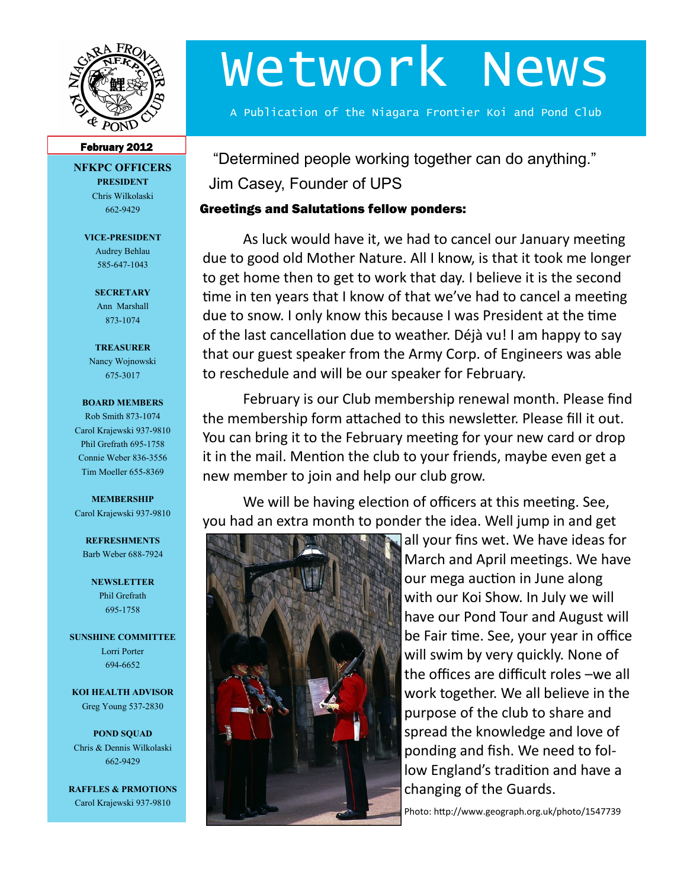

# Wetwork News

A Publication of the Niagara Frontier Koi and Pond Club

#### February 2012

**NFKPC OFFICERS PRESIDENT** Chris Wilkolaski 662-9429

> **VICE-PRESIDENT** Audrey Behlau 585-647-1043

> > **SECRETARY** Ann Marshall 873-1074

**TREASURER** Nancy Wojnowski 675-3017

#### **BOARD MEMBERS**

Rob Smith 873-1074 Carol Krajewski 937-9810 Phil Grefrath 695-1758 Connie Weber 836-3556 Tim Moeller 655-8369

## **MEMBERSHIP**

Carol Krajewski 937-9810

**REFRESHMENTS** Barb Weber 688-7924

**NEWSLETTER** Phil Grefrath 695-1758

**SUNSHINE COMMITTEE** Lorri Porter 694-6652

**KOI HEALTH ADVISOR** Greg Young 537-2830

**POND SQUAD** Chris & Dennis Wilkolaski 662-9429

**RAFFLES & PRMOTIONS** Carol Krajewski 937-9810

"Determined people working together can do anything." Jim Casey, Founder of UPS

## Greetings and Salutations fellow ponders:

As luck would have it, we had to cancel our January meeting due to good old Mother Nature. All I know, is that it took me longer to get home then to get to work that day. I believe it is the second time in ten years that I know of that we've had to cancel a meeting due to snow. I only know this because I was President at the time of the last cancellation due to weather. Déjà vu! I am happy to say that our guest speaker from the Army Corp. of Engineers was able to reschedule and will be our speaker for February.

February is our Club membership renewal month. Please find the membership form attached to this newsletter. Please fill it out. You can bring it to the February meeting for your new card or drop it in the mail. Mention the club to your friends, maybe even get a new member to join and help our club grow.

We will be having election of officers at this meeting. See, you had an extra month to ponder the idea. Well jump in and get



all your fins wet. We have ideas for March and April meetings. We have our mega auction in June along with our Koi Show. In July we will have our Pond Tour and August will be Fair time. See, your year in office will swim by very quickly. None of the offices are difficult roles –we all work together. We all believe in the purpose of the club to share and spread the knowledge and love of ponding and fish. We need to follow England's tradition and have a changing of the Guards.

Photo: http://www.geograph.org.uk/photo/1547739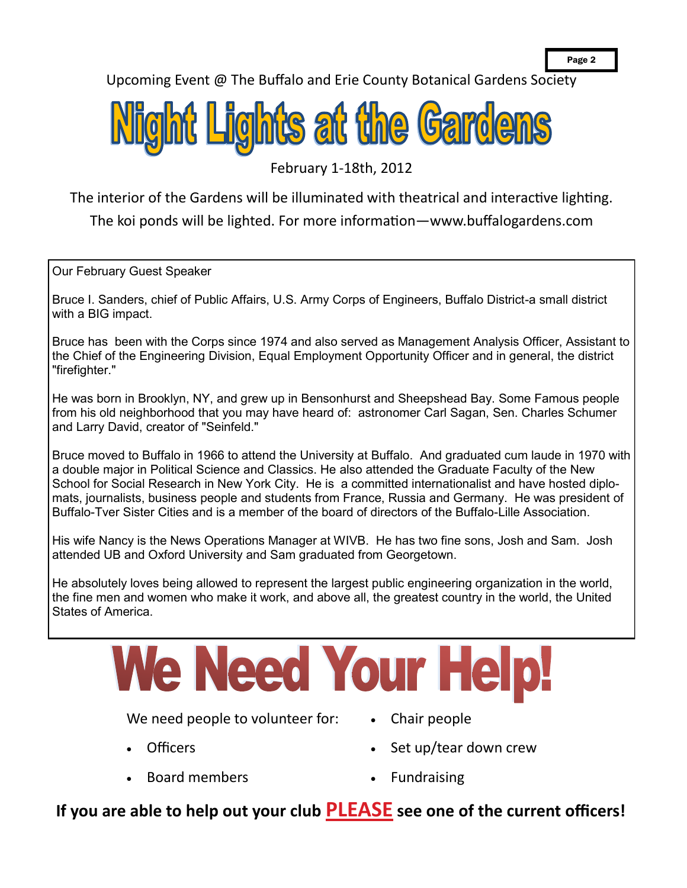Upcoming Event @ The Buffalo and Erie County Botanical Gardens Society



February 1-18th, 2012

The interior of the Gardens will be illuminated with theatrical and interactive lighting.

The koi ponds will be lighted. For more information—www.buffalogardens.com

Our February Guest Speaker

Bruce I. Sanders, chief of Public Affairs, U.S. Army Corps of Engineers, Buffalo District-a small district with a BIG impact.

Bruce has been with the Corps since 1974 and also served as Management Analysis Officer, Assistant to the Chief of the Engineering Division, Equal Employment Opportunity Officer and in general, the district "firefighter."

He was born in Brooklyn, NY, and grew up in Bensonhurst and Sheepshead Bay. Some Famous people from his old neighborhood that you may have heard of: astronomer Carl Sagan, Sen. Charles Schumer and Larry David, creator of "Seinfeld."

Bruce moved to Buffalo in 1966 to attend the University at Buffalo. And graduated cum laude in 1970 with a double major in Political Science and Classics. He also attended the Graduate Faculty of the New School for Social Research in New York City. He is a committed internationalist and have hosted diplomats, journalists, business people and students from France, Russia and Germany. He was president of Buffalo-Tver Sister Cities and is a member of the board of directors of the Buffalo-Lille Association.

His wife Nancy is the News Operations Manager at WIVB. He has two fine sons, Josh and Sam. Josh attended UB and Oxford University and Sam graduated from Georgetown.

He absolutely loves being allowed to represent the largest public engineering organization in the world, the fine men and women who make it work, and above all, the greatest country in the world, the United States of America.

# We Need Your He

We need people to volunteer for:

- **Officers**
- Board members
- Chair people
- Set up/tear down crew
- Fundraising

## **If you are able to help out your club PLEASE see one of the current officers!**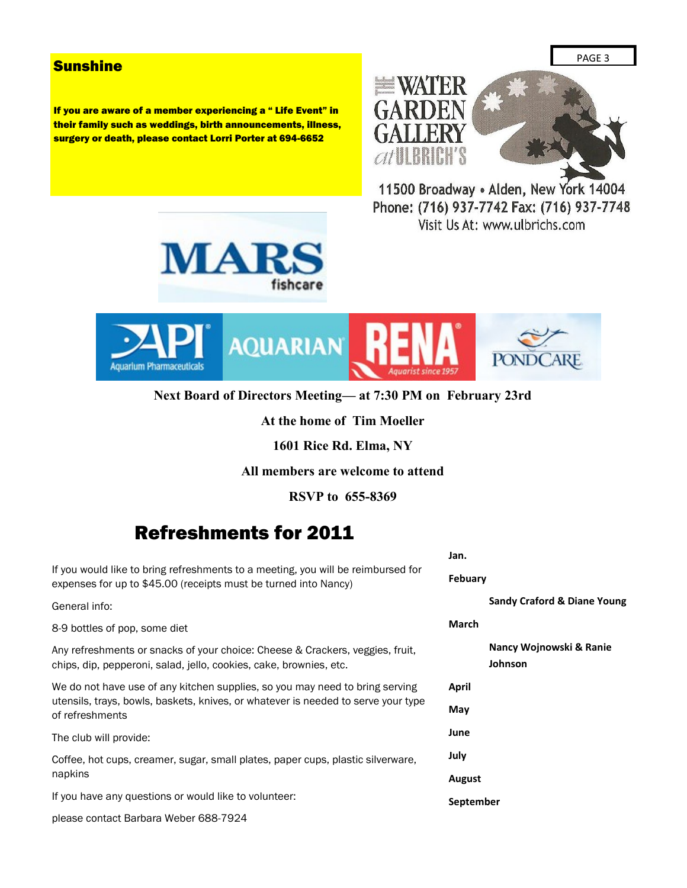### **Sunshine**

If you are aware of a member experiencing a " Life Event" in their family such as weddings, birth announcements, illness, surgery or death, please contact Lorri Porter at 694-6652



11500 Broadway . Alden, New York 14004 Phone: (716) 937-7742 Fax: (716) 937-7748 Visit Us At: www.ulbrichs.com





**Next Board of Directors Meeting— at 7:30 PM on February 23rd**

#### **At the home of Tim Moeller**

**1601 Rice Rd. Elma, NY**

**All members are welcome to attend**

**RSVP to 655-8369**

## Refreshments for 2011

If you would like to bring refreshments to a meeting, you will be reimbursed for expenses for up to \$45.00 (receipts must be turned into Nancy)

General info:

8-9 bottles of pop, some diet

Any refreshments or snacks of your choice: Cheese & Crackers, veggies, fruit, chips, dip, pepperoni, salad, jello, cookies, cake, brownies, etc.

We do not have use of any kitchen supplies, so you may need to bring serving utensils, trays, bowls, baskets, knives, or whatever is needed to serve your type of refreshments

The club will provide:

Coffee, hot cups, creamer, sugar, small plates, paper cups, plastic silverware, napkins

If you have any questions or would like to volunteer:

please contact Barbara Weber 688-7924

**Jan.**

**Febuary**

**Sandy Craford & Diane Young**

#### **March**

**Nancy Wojnowski & Ranie Johnson**

**April**

**May**

**June**

**July**

**August**

### **September**

PAGE 3